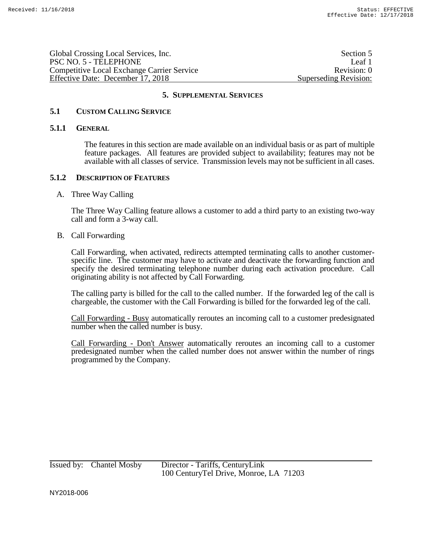Global Crossing Local Services, Inc. Section 5 PSC NO. 5 - TELEPHONE Leaf 1 Competitive Local Exchange Carrier Service Revision: 0 Effective Date: December 17, 2018 Superseding Revision:

## **5. SUPPLEMENTAL SERVICES**

## **5.1 CUSTOM CALLING SERVICE**

#### **5.1.1 GENERAL**

The features in this section are made available on an individual basis or as part of multiple feature packages. All features are provided subject to availability; features may not be available with all classes of service. Transmission levels may not be sufficient in all cases.

#### **5.1.2 DESCRIPTION OF FEATURES**

#### A. Three Way Calling

The Three Way Calling feature allows a customer to add a third party to an existing two-way call and form a 3-way call.

#### B. Call Forwarding

Call Forwarding, when activated, redirects attempted terminating calls to another customerspecific line. The customer may have to activate and deactivate the forwarding function and specify the desired terminating telephone number during each activation procedure. Call originating ability is not affected by Call Forwarding.

The calling party is billed for the call to the called number. If the forwarded leg of the call is chargeable, the customer with the Call Forwarding is billed for the forwarded leg of the call.

Call Forwarding - Busy automatically reroutes an incoming call to a customer predesignated number when the called number is busy.

Call Forwarding - Don't Answer automatically reroutes an incoming call to a customer predesignated number when the called number does not answer within the number of rings programmed by the Company.

Issued by: Chantel Mosby Director - Tariffs, CenturyLink 100 CenturyTel Drive, Monroe, LA 71203

NY2018-006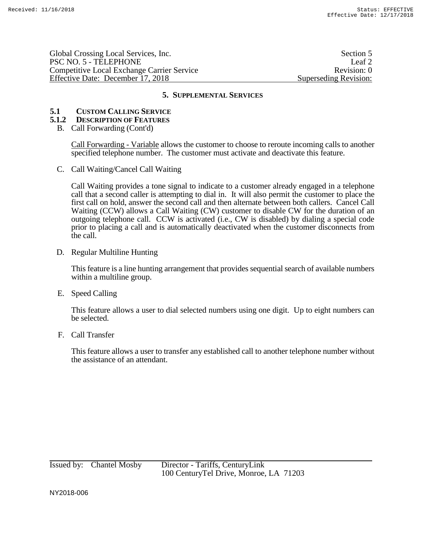Global Crossing Local Services, Inc. Section 5 PSC NO. 5 - TELEPHONE Leaf 2 Competitive Local Exchange Carrier Service Revision: 0 Effective Date: December 17, 2018 Superseding Revision:

## **5. SUPPLEMENTAL SERVICES**

# **5.1 CUSTOM CALLING SERVICE**

## **5.1.2 DESCRIPTION OF FEATURES**

B. Call Forwarding (Cont'd)

Call Forwarding - Variable allows the customer to choose to reroute incoming calls to another specified telephone number. The customer must activate and deactivate this feature.

C. Call Waiting/Cancel Call Waiting

Call Waiting provides a tone signal to indicate to a customer already engaged in a telephone call that a second caller is attempting to dial in. It will also permit the customer to place the first call on hold, answer the second call and then alternate between both callers. Cancel Call Waiting (CCW) allows a Call Waiting (CW) customer to disable CW for the duration of an outgoing telephone call. CCW is activated (i.e., CW is disabled) by dialing a special code prior to placing a call and is automatically deactivated when the customer disconnects from the call.

D. Regular Multiline Hunting

This feature is a line hunting arrangement that provides sequential search of available numbers within a multiline group.

E. Speed Calling

This feature allows a user to dial selected numbers using one digit. Up to eight numbers can be selected.

F. Call Transfer

This feature allows a user to transfer any established call to another telephone number without the assistance of an attendant.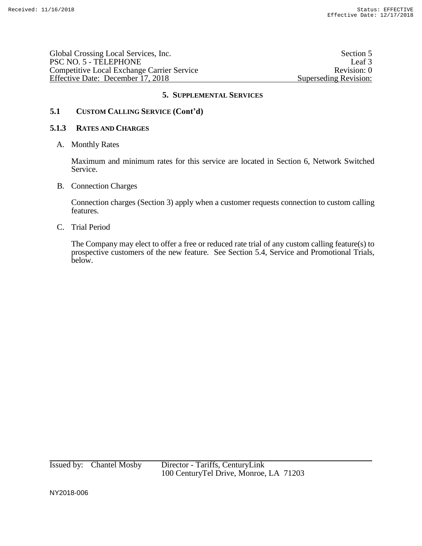| Global Crossing Local Services, Inc.       | Section 5             |
|--------------------------------------------|-----------------------|
| PSC NO. 5 - TELEPHONE                      | Leaf <sub>3</sub>     |
| Competitive Local Exchange Carrier Service | Revision: 0           |
| Effective Date: December 17, 2018          | Superseding Revision: |

# **5. SUPPLEMENTAL SERVICES**

# **5.1 CUSTOM CALLING SERVICE (Cont'd)**

## **5.1.3 RATES AND CHARGES**

A. Monthly Rates

Maximum and minimum rates for this service are located in Section 6, Network Switched Service.

B. Connection Charges

Connection charges (Section 3) apply when a customer requests connection to custom calling features.

C. Trial Period

The Company may elect to offer a free or reduced rate trial of any custom calling feature(s) to prospective customers of the new feature. See Section 5.4, Service and Promotional Trials, below.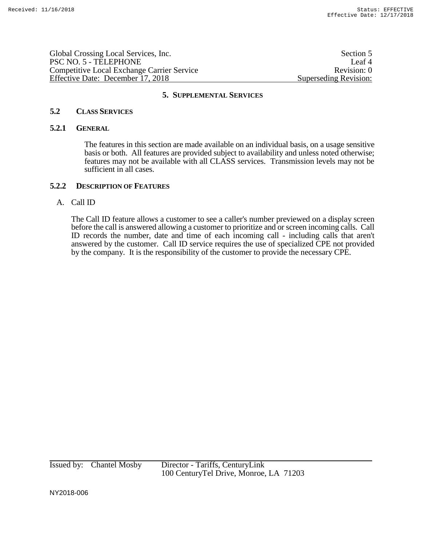Global Crossing Local Services, Inc. Section 5 PSC NO. 5 - TELEPHONE Leaf 4 Competitive Local Exchange Carrier Service Revision: 0 Effective Date: December 17, 2018 Superseding Revision:

#### **5. SUPPLEMENTAL SERVICES**

## **5.2 CLASS SERVICES**

#### **5.2.1 GENERAL**

The features in this section are made available on an individual basis, on a usage sensitive basis or both. All features are provided subject to availability and unless noted otherwise; features may not be available with all CLASS services. Transmission levels may not be sufficient in all cases.

## **5.2.2 DESCRIPTION OF FEATURES**

## A. Call ID

The Call ID feature allows a customer to see a caller's number previewed on a display screen before the call is answered allowing a customer to prioritize and or screen incoming calls. Call ID records the number, date and time of each incoming call - including calls that aren't answered by the customer. Call ID service requires the use of specialized CPE not provided by the company. It is the responsibility of the customer to provide the necessary CPE.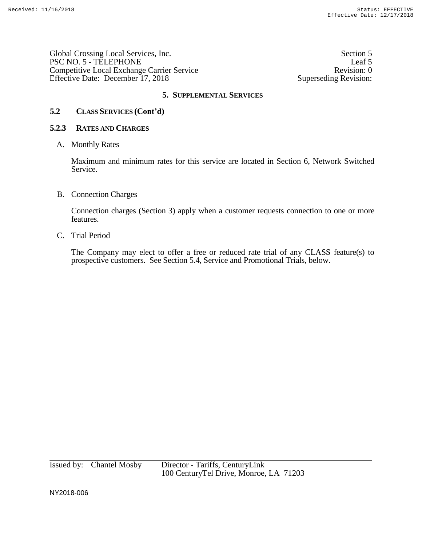| Global Crossing Local Services, Inc.              | Section 5             |
|---------------------------------------------------|-----------------------|
| PSC NO. 5 - TELEPHONE                             | Leaf 5                |
| <b>Competitive Local Exchange Carrier Service</b> | Revision: 0           |
| Effective Date: December 17, 2018                 | Superseding Revision: |

# **5.2 CLASS SERVICES (Cont'd)**

## **5.2.3 RATES AND CHARGES**

## A. Monthly Rates

Maximum and minimum rates for this service are located in Section 6, Network Switched Service.

## B. Connection Charges

Connection charges (Section 3) apply when a customer requests connection to one or more features.

## C. Trial Period

The Company may elect to offer a free or reduced rate trial of any CLASS feature(s) to prospective customers. See Section 5.4, Service and Promotional Trials, below.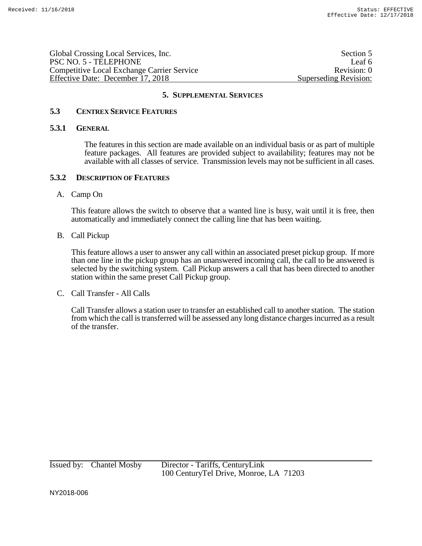Global Crossing Local Services, Inc. Section 5 PSC NO. 5 - TELEPHONE Leaf 6 Competitive Local Exchange Carrier Service Revision: 0 Effective Date: December 17, 2018 Superseding Revision:

## **5. SUPPLEMENTAL SERVICES**

## **5.3 CENTREX SERVICE FEATURES**

## **5.3.1 GENERAL**

The features in this section are made available on an individual basis or as part of multiple feature packages. All features are provided subject to availability; features may not be available with all classes of service. Transmission levels may not be sufficient in all cases.

## **5.3.2 DESCRIPTION OF FEATURES**

## A. Camp On

This feature allows the switch to observe that a wanted line is busy, wait until it is free, then automatically and immediately connect the calling line that has been waiting.

## B. Call Pickup

This feature allows a user to answer any call within an associated preset pickup group. If more than one line in the pickup group has an unanswered incoming call, the call to be answered is selected by the switching system. Call Pickup answers a call that has been directed to another station within the same preset Call Pickup group.

C. Call Transfer - All Calls

Call Transfer allows a station user to transfer an established call to another station. The station from which the call is transferred will be assessed any long distance charges incurred as a result of the transfer.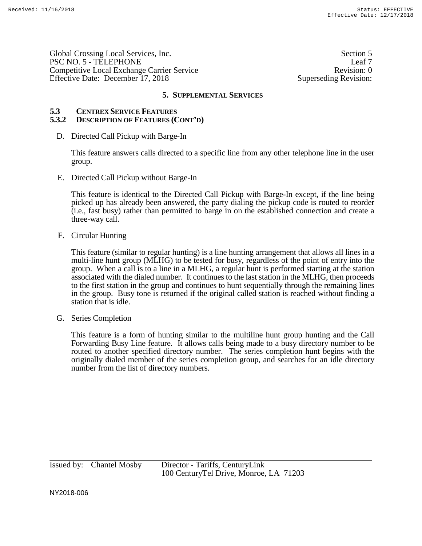Global Crossing Local Services, Inc. Section 5 PSC NO. 5 - TELEPHONE Leaf 7 Competitive Local Exchange Carrier Service Revision: 0 Effective Date: December 17, 2018 Superseding Revision:

## **5. SUPPLEMENTAL SERVICES**

#### **5.3 CENTREX SERVICE FEATURES 5.3.2 DESCRIPTION OF FEATURES (CONT'D)**

D. Directed Call Pickup with Barge-In

This feature answers calls directed to a specific line from any other telephone line in the user group.

E. Directed Call Pickup without Barge-In

This feature is identical to the Directed Call Pickup with Barge-In except, if the line being picked up has already been answered, the party dialing the pickup code is routed to reorder (i.e., fast busy) rather than permitted to barge in on the established connection and create a three-way call.

F. Circular Hunting

This feature (similar to regular hunting) is a line hunting arrangement that allows all lines in a multi-line hunt group (MLHG) to be tested for busy, regardless of the point of entry into the group. When a call is to a line in a MLHG, a regular hunt is performed starting at the station associated with the dialed number. It continues to the last station in the MLHG, then proceeds to the first station in the group and continues to hunt sequentially through the remaining lines in the group. Busy tone is returned if the original called station is reached without finding a station that is idle.

G. Series Completion

This feature is a form of hunting similar to the multiline hunt group hunting and the Call Forwarding Busy Line feature. It allows calls being made to a busy directory number to be routed to another specified directory number. The series completion hunt begins with the originally dialed member of the series completion group, and searches for an idle directory number from the list of directory numbers.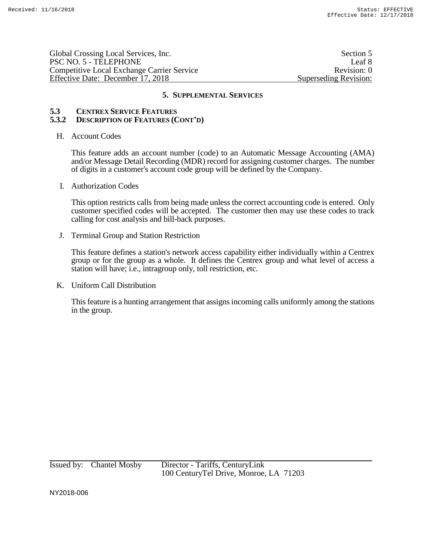Global Crossing Local Services, Inc. Section 5 PSC NO. 5 - TELEPHONE Leaf 8 Competitive Local Exchange Carrier Service Revision: 0 Effective Date: December 17, 2018 Superseding Revision:

## **5. SUPPLEMENTAL SERVICES**

## **5.3 CENTREX SERVICE FEATURES 5.3.2 DESCRIPTION OF FEATURES (CONT'D)**

## H. Account Codes

This feature adds an account number (code) to an Automatic Message Accounting (AMA) and/or Message Detail Recording (MDR) record for assigning customer charges. The number of digits in a customer's account code group will be defined by the Company.

I. Authorization Codes

This option restricts calls from being made unless the correct accounting code is entered. Only customer specified codes will be accepted. The customer then may use these codes to track calling for cost analysis and bill-back purposes.

J. Terminal Group and Station Restriction

This feature defines a station's network access capability either individually within a Centrex group or for the group as a whole. It defines the Centrex group and what level of access a station will have; i.e., intragroup only, toll restriction, etc.

K. Uniform Call Distribution

This feature is a hunting arrangement that assigns incoming calls uniformly among the stations in the group.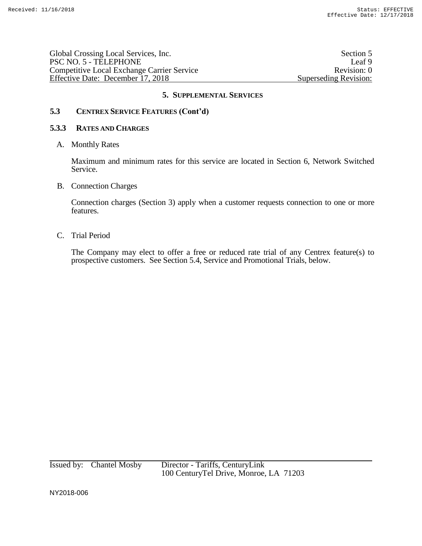Global Crossing Local Services, Inc.<br>
PSC NO. 5 - TELEPHONE Leaf 9 PSC NO. 5 - TELEPHONE Leaf 9<br>Competitive Local Exchange Carrier Service Revision: 0 Competitive Local Exchange Carrier Service Effective Date: December 17, 2018 Superseding Revision:

# **5. SUPPLEMENTAL SERVICES**

# **5.3 CENTREX SERVICE FEATURES (Cont'd)**

## **5.3.3 RATES AND CHARGES**

A. Monthly Rates

Maximum and minimum rates for this service are located in Section 6, Network Switched Service.

B. Connection Charges

Connection charges (Section 3) apply when a customer requests connection to one or more features.

C. Trial Period

The Company may elect to offer a free or reduced rate trial of any Centrex feature(s) to prospective customers. See Section 5.4, Service and Promotional Trials, below.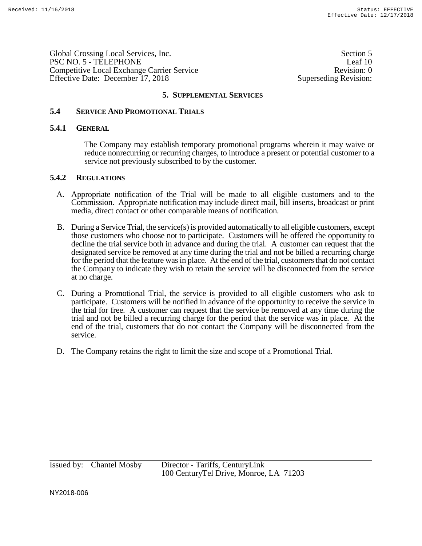Global Crossing Local Services, Inc. Section 5 PSC NO. 5 - TELEPHONE Leaf 10 Competitive Local Exchange Carrier Service Revision: 0 Effective Date: December 17, 2018 Superseding Revision:

## **5. SUPPLEMENTAL SERVICES**

## **5.4 SERVICE AND PROMOTIONAL TRIALS**

#### **5.4.1 GENERAL**

The Company may establish temporary promotional programs wherein it may waive or reduce nonrecurring or recurring charges, to introduce a present or potential customer to a service not previously subscribed to by the customer.

## **5.4.2 REGULATIONS**

- A. Appropriate notification of the Trial will be made to all eligible customers and to the Commission. Appropriate notification may include direct mail, bill inserts, broadcast or print media, direct contact or other comparable means of notification.
- B. During a Service Trial, the service(s) is provided automatically to all eligible customers, except those customers who choose not to participate. Customers will be offered the opportunity to decline the trial service both in advance and during the trial. A customer can request that the designated service be removed at any time during the trial and not be billed a recurring charge for the period that the feature was in place. At the end of the trial, customers that do not contact the Company to indicate they wish to retain the service will be disconnected from the service at no charge.
- C. During a Promotional Trial, the service is provided to all eligible customers who ask to participate. Customers will be notified in advance of the opportunity to receive the service in the trial for free. A customer can request that the service be removed at any time during the trial and not be billed a recurring charge for the period that the service was in place. At the end of the trial, customers that do not contact the Company will be disconnected from the service.
- D. The Company retains the right to limit the size and scope of a Promotional Trial.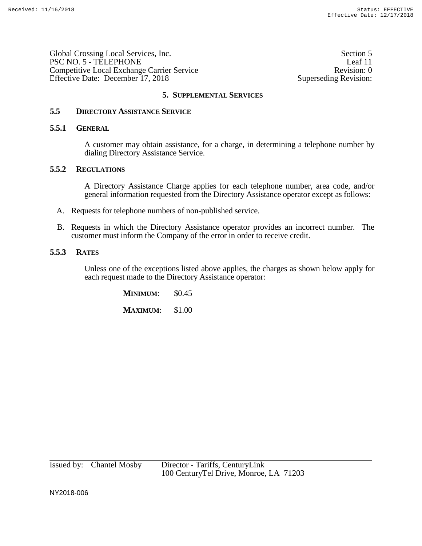| Global Crossing Local Services, Inc.       | Section 5             |
|--------------------------------------------|-----------------------|
| PSC NO. 5 - TELEPHONE                      | Leaf 11               |
| Competitive Local Exchange Carrier Service | Revision: 0           |
| Effective Date: December 17, 2018          | Superseding Revision: |

# **5.5 DIRECTORY ASSISTANCE SERVICE**

#### **5.5.1 GENERAL**

A customer may obtain assistance, for a charge, in determining a telephone number by dialing Directory Assistance Service.

#### **5.5.2 REGULATIONS**

A Directory Assistance Charge applies for each telephone number, area code, and/or general information requested from the Directory Assistance operator except as follows:

- A. Requests for telephone numbers of non-published service.
- B. Requests in which the Directory Assistance operator provides an incorrect number. The customer must inform the Company of the error in order to receive credit.

## **5.5.3 RATES**

Unless one of the exceptions listed above applies, the charges as shown below apply for each request made to the Directory Assistance operator:

> **MINIMUM:** \$0.45 **MAXIMUM**: \$1.00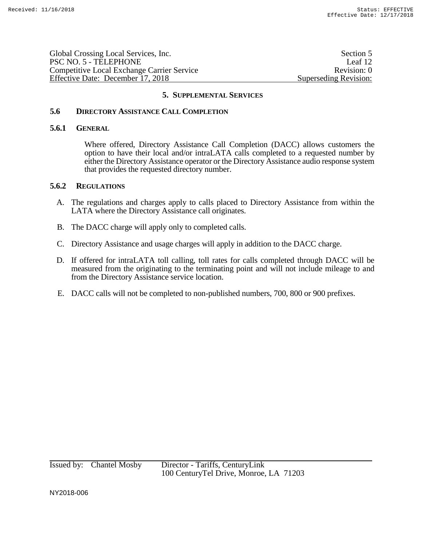| PSC NO. 5 - TELEPHONE                             | Global Crossing Local Services, Inc. | Section 5             |
|---------------------------------------------------|--------------------------------------|-----------------------|
|                                                   |                                      | Leaf 12               |
| <b>Competitive Local Exchange Carrier Service</b> |                                      | Revision: 0           |
| Effective Date: December 17, 2018                 |                                      | Superseding Revision: |

## **5.6 DIRECTORY ASSISTANCE CALL COMPLETION**

#### **5.6.1 GENERAL**

Where offered, Directory Assistance Call Completion (DACC) allows customers the option to have their local and/or intraLATA calls completed to a requested number by either the Directory Assistance operator or the Directory Assistance audio response system that provides the requested directory number.

#### **5.6.2 REGULATIONS**

- A. The regulations and charges apply to calls placed to Directory Assistance from within the LATA where the Directory Assistance call originates.
- B. The DACC charge will apply only to completed calls.
- C. Directory Assistance and usage charges will apply in addition to the DACC charge.
- D. If offered for intraLATA toll calling, toll rates for calls completed through DACC will be measured from the originating to the terminating point and will not include mileage to and from the Directory Assistance service location.
- E. DACC calls will not be completed to non-published numbers, 700, 800 or 900 prefixes.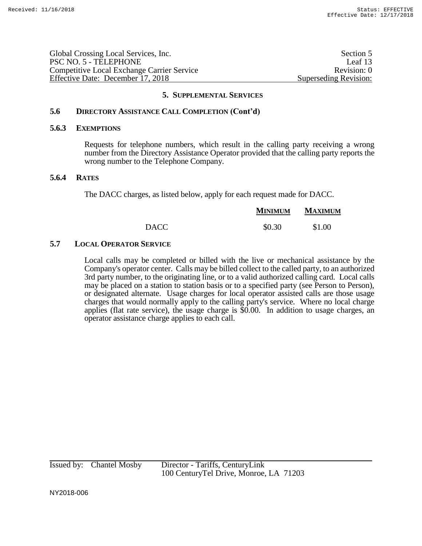| Global Crossing Local Services, Inc.              | Section 5             |
|---------------------------------------------------|-----------------------|
| PSC NO. 5 - TELEPHONE                             | Leaf 13               |
| <b>Competitive Local Exchange Carrier Service</b> | Revision: 0           |
| Effective Date: December 17, 2018                 | Superseding Revision: |
|                                                   |                       |

## **5.6 DIRECTORY ASSISTANCE CALL COMPLETION (Cont'd)**

#### **5.6.3 EXEMPTIONS**

Requests for telephone numbers, which result in the calling party receiving a wrong number from the Directory Assistance Operator provided that the calling party reports the wrong number to the Telephone Company.

## **5.6.4 RATES**

The DACC charges, as listed below, apply for each request made for DACC.

|             | <b>MINIMUM</b> | MAXIMUM |
|-------------|----------------|---------|
| <b>DACC</b> | \$0.30         | \$1.00  |

# **5.7 LOCAL OPERATOR SERVICE**

Local calls may be completed or billed with the live or mechanical assistance by the Company's operator center. Calls may be billed collect to the called party, to an authorized 3rd party number, to the originating line, or to a valid authorized calling card. Local calls may be placed on a station to station basis or to a specified party (see Person to Person), or designated alternate. Usage charges for local operator assisted calls are those usage charges that would normally apply to the calling party's service. Where no local charge applies (flat rate service), the usage charge is \$0.00. In addition to usage charges, an operator assistance charge applies to each call.

Issued by: Chantel Mosby Director - Tariffs, CenturyLink 100 CenturyTel Drive, Monroe, LA 71203

NY2018-006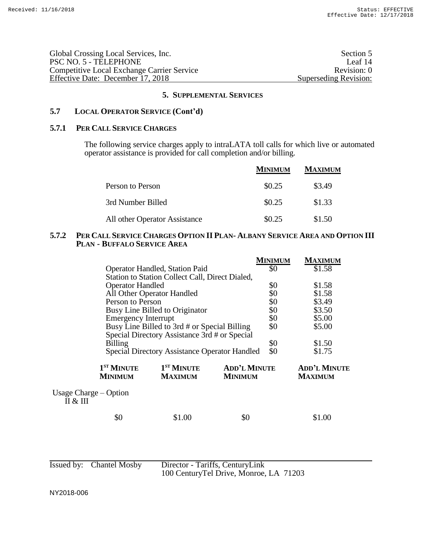| Global Crossing Local Services, Inc.              | Section 5             |
|---------------------------------------------------|-----------------------|
| PSC NO. 5 - TELEPHONE                             | Leaf 14               |
| <b>Competitive Local Exchange Carrier Service</b> | Revision: 0           |
| Effective Date: December 17, 2018                 | Superseding Revision: |

# **5.7 LOCAL OPERATOR SERVICE (Cont'd)**

#### **5.7.1 PER CALL SERVICE CHARGES**

The following service charges apply to intraLATA toll calls for which live or automated operator assistance is provided for call completion and/or billing.

|                               | <b>MINIMUM</b> | <b>MAXIMUM</b> |
|-------------------------------|----------------|----------------|
| Person to Person              | \$0.25         | \$3.49         |
| 3rd Number Billed             | \$0.25         | \$1.33         |
| All other Operator Assistance | \$0.25         | \$1.50         |

# 5.7.2 PER CALL SERVICE CHARGES OPTION II PLAN- ALBANY SERVICE AREA AND OPTION III **PLAN - BUFFALO SERVICE AREA**

|                                |                                          |                                                      |                                       | MINIMUM | MAXIMUM                               |
|--------------------------------|------------------------------------------|------------------------------------------------------|---------------------------------------|---------|---------------------------------------|
|                                | Operator Handled, Station Paid           |                                                      |                                       | \$0     | \$1.58                                |
|                                |                                          | Station to Station Collect Call, Direct Dialed,      |                                       |         |                                       |
|                                | <b>Operator Handled</b>                  |                                                      |                                       | \$0     | \$1.58                                |
|                                | All Other Operator Handled               |                                                      |                                       | \$0     | \$1.58                                |
|                                | Person to Person                         |                                                      |                                       | \$0     | \$3.49                                |
|                                | Busy Line Billed to Originator           |                                                      |                                       | \$0     | \$3.50                                |
|                                | <b>Emergency Interrupt</b>               |                                                      |                                       | \$0     | \$5.00                                |
|                                |                                          | Busy Line Billed to 3rd # or Special Billing         |                                       | \$0     | \$5.00                                |
|                                |                                          | Special Directory Assistance 3rd # or Special        |                                       |         |                                       |
|                                | <b>Billing</b>                           |                                                      |                                       | \$0     | \$1.50                                |
|                                |                                          | <b>Special Directory Assistance Operator Handled</b> |                                       | \$0     | \$1.75                                |
|                                | 1 <sup>ST</sup> MINUTE<br><b>MINIMUM</b> | 1 <sup>ST</sup> MINUTE<br><b>MAXIMUM</b>             | <b>ADD'L MINUTE</b><br><b>MINIMUM</b> |         | <b>ADD'L MINUTE</b><br><b>MAXIMUM</b> |
| Usage Charge – Option<br>П & Ш |                                          |                                                      |                                       |         |                                       |
|                                | \$0                                      | \$1.00                                               | \$0                                   |         | \$1.00                                |

| Issued by: Chantel Mosby | Director - Tariffs, CenturyLink        |  |
|--------------------------|----------------------------------------|--|
|                          | 100 CenturyTel Drive, Monroe, LA 71203 |  |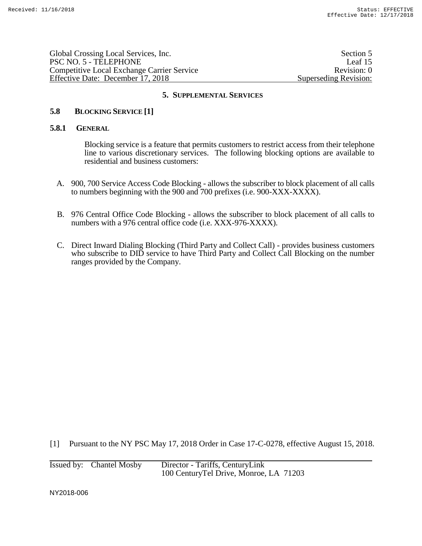| Global Crossing Local Services, Inc.              | Section 5             |
|---------------------------------------------------|-----------------------|
| PSC NO. 5 - TELEPHONE                             | Leaf $15$             |
| <b>Competitive Local Exchange Carrier Service</b> | Revision: 0           |
| Effective Date: December 17, 2018                 | Superseding Revision: |
|                                                   |                       |

## **5.8 BLOCKING SERVICE [1]**

#### **5.8.1 GENERAL**

Blocking service is a feature that permits customers to restrict access from their telephone line to various discretionary services. The following blocking options are available to residential and business customers:

- A. 900, 700 Service Access Code Blocking allows the subscriber to block placement of all calls to numbers beginning with the 900 and 700 prefixes (i.e. 900-XXX-XXXX).
- B. 976 Central Office Code Blocking allows the subscriber to block placement of all calls to numbers with a 976 central office code (i.e. XXX-976-XXXX).
- C. Direct Inward Dialing Blocking (Third Party and Collect Call) provides business customers who subscribe to DID service to have Third Party and Collect Call Blocking on the number ranges provided by the Company.

[1] Pursuant to the NY PSC May 17, 2018 Order in Case 17-C-0278, effective August 15, 2018.

| Issued by: Chantel Mosby | Director - Tariffs, CenturyLink         |
|--------------------------|-----------------------------------------|
|                          | 100 Century Tel Drive, Monroe, LA 71203 |

NY2018-006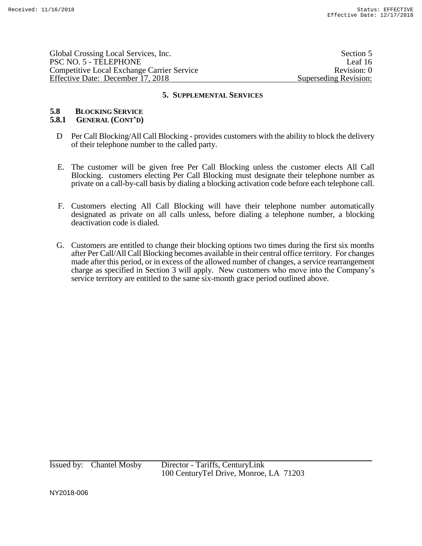Global Crossing Local Services, Inc. Section 5 PSC NO. 5 - TELEPHONE Leaf 16 Competitive Local Exchange Carrier Service Revision: 0 Effective Date: December 17, 2018 Superseding Revision:

#### **5. SUPPLEMENTAL SERVICES**

# **5.8 BLOCKING SERVICE**

## **5.8.1 GENERAL (CONT'D)**

- D Per Call Blocking/All Call Blocking provides customers with the ability to block the delivery of their telephone number to the called party.
- E. The customer will be given free Per Call Blocking unless the customer elects All Call Blocking. customers electing Per Call Blocking must designate their telephone number as private on a call-by-call basis by dialing a blocking activation code before each telephone call.
- F. Customers electing All Call Blocking will have their telephone number automatically designated as private on all calls unless, before dialing a telephone number, a blocking deactivation code is dialed.
- G. Customers are entitled to change their blocking options two times during the first six months after Per Call/All Call Blocking becomes available in their central office territory. For changes made after this period, or in excess of the allowed number of changes, a service rearrangement charge as specified in Section 3 will apply. New customers who move into the Company's service territory are entitled to the same six-month grace period outlined above.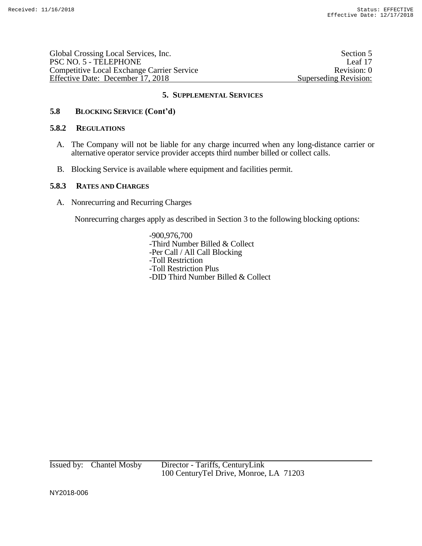Global Crossing Local Services, Inc. Section 5 PSC NO. 5 - TELEPHONE Leaf 17 Competitive Local Exchange Carrier Service Revision: 0 Effective Date: December 17, 2018 Superseding Revision:

# **5. SUPPLEMENTAL SERVICES**

# **5.8 BLOCKING SERVICE (Cont'd)**

# **5.8.2 REGULATIONS**

- A. The Company will not be liable for any charge incurred when any long-distance carrier or alternative operator service provider accepts third number billed or collect calls.
- B. Blocking Service is available where equipment and facilities permit.

## **5.8.3 RATES AND CHARGES**

A. Nonrecurring and Recurring Charges

Nonrecurring charges apply as described in Section 3 to the following blocking options:

-900,976,700 -Third Number Billed & Collect -Per Call / All Call Blocking -Toll Restriction -Toll Restriction Plus -DID Third Number Billed & Collect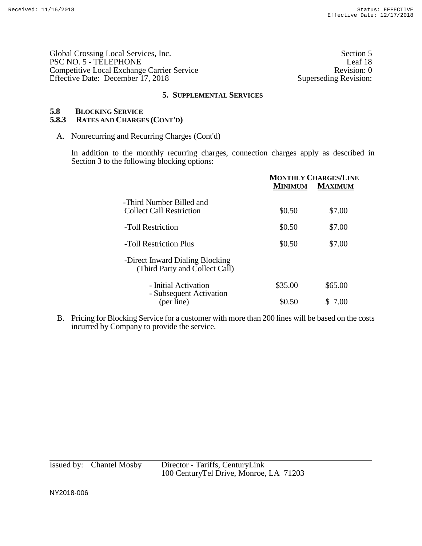Global Crossing Local Services, Inc.<br>
PSC NO. 5 - TELEPHONE Leaf 18 PSC NO. 5 - TELEPHONE Leaf 18<br>
Competitive Local Exchange Carrier Service Revision: 0 Competitive Local Exchange Carrier Service<br>
Effective Date: December 17, 2018<br>
Revision: 0<br>
Revision: 0<br>
Revision: 0 Effective Date: December 17, 2018

## **5. SUPPLEMENTAL SERVICES**

# **5.8 BLOCKING SERVICE**

# **5.8.3 RATES AND CHARGES (CONT'D)**

A. Nonrecurring and Recurring Charges (Cont'd)

In addition to the monthly recurring charges, connection charges apply as described in Section 3 to the following blocking options:

|                                                                   | <b>MONTHLY CHARGES/LINE</b><br><b>MAXIMUM</b><br><b>MINIMUM</b> |         |
|-------------------------------------------------------------------|-----------------------------------------------------------------|---------|
| -Third Number Billed and<br><b>Collect Call Restriction</b>       | \$0.50                                                          | \$7.00  |
| -Toll Restriction                                                 | \$0.50                                                          | \$7.00  |
| -Toll Restriction Plus                                            | \$0.50                                                          | \$7.00  |
| -Direct Inward Dialing Blocking<br>(Third Party and Collect Call) |                                                                 |         |
| - Initial Activation<br>- Subsequent Activation                   | \$35.00                                                         | \$65.00 |
| (per line)                                                        | \$0.50                                                          | 7.00    |

B. Pricing for Blocking Service for a customer with more than 200 lines will be based on the costs incurred by Company to provide the service.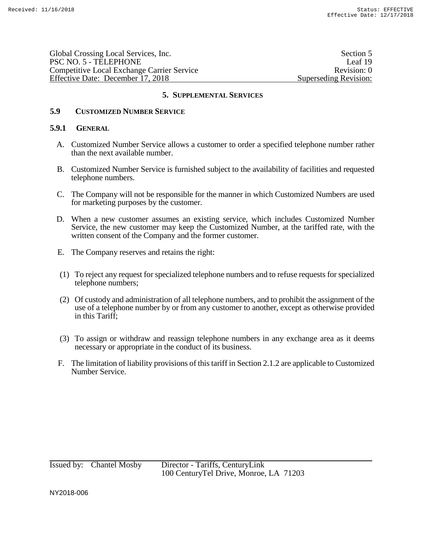Global Crossing Local Services, Inc. Section 5 PSC NO. 5 - TELEPHONE Leaf 19 Competitive Local Exchange Carrier Service Revision: 0 Effective Date: December 17, 2018 Superseding Revision:

## **5. SUPPLEMENTAL SERVICES**

# **5.9 CUSTOMIZED NUMBER SERVICE**

## **5.9.1 GENERAL**

- A. Customized Number Service allows a customer to order a specified telephone number rather than the next available number.
- B. Customized Number Service is furnished subject to the availability of facilities and requested telephone numbers.
- C. The Company will not be responsible for the manner in which Customized Numbers are used for marketing purposes by the customer.
- D. When a new customer assumes an existing service, which includes Customized Number Service, the new customer may keep the Customized Number, at the tariffed rate, with the written consent of the Company and the former customer.
- E. The Company reserves and retains the right:
- (1) To reject any request for specialized telephone numbers and to refuse requests for specialized telephone numbers;
- (2) Of custody and administration of all telephone numbers, and to prohibit the assignment of the use of a telephone number by or from any customer to another, except as otherwise provided in this Tariff;
- (3) To assign or withdraw and reassign telephone numbers in any exchange area as it deems necessary or appropriate in the conduct of its business.
- F. The limitation of liability provisions of this tariff in Section 2.1.2 are applicable to Customized Number Service.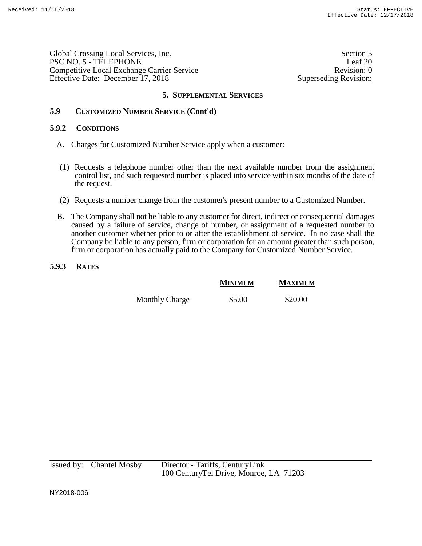Global Crossing Local Services, Inc. Section 5 PSC NO. 5 - TELEPHONE Leaf 20 Competitive Local Exchange Carrier Service Revision: 0 Effective Date: December 17, 2018 Superseding Revision:

# **5. SUPPLEMENTAL SERVICES**

# **5.9 CUSTOMIZED NUMBER SERVICE (Cont'd)**

## **5.9.2 CONDITIONS**

- A. Charges for Customized Number Service apply when a customer:
- (1) Requests a telephone number other than the next available number from the assignment control list, and such requested number is placed into service within six months of the date of the request.
- (2) Requests a number change from the customer's present number to a Customized Number.
- B. The Company shall not be liable to any customer for direct, indirect or consequential damages caused by a failure of service, change of number, or assignment of a requested number to another customer whether prior to or after the establishment of service. In no case shall the Company be liable to any person, firm or corporation for an amount greater than such person, firm or corporation has actually paid to the Company for Customized Number Service.

# **5.9.3 RATES**

|                       | <b>MINIMUM</b> | <b>MAXIMUM</b> |
|-----------------------|----------------|----------------|
| <b>Monthly Charge</b> | \$5.00         | \$20.00        |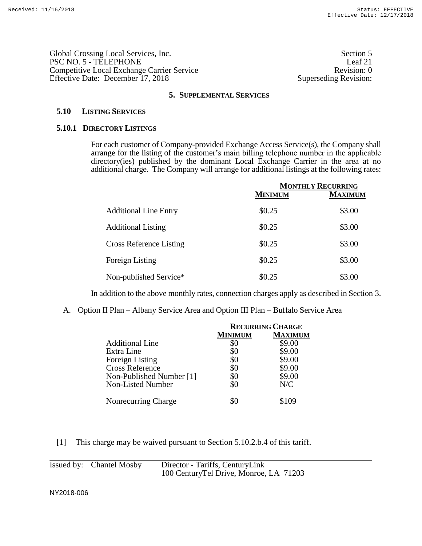| Global Crossing Local Services, Inc.              | Section 5             |
|---------------------------------------------------|-----------------------|
| PSC NO. 5 - TELEPHONE                             | Leaf $21$             |
| <b>Competitive Local Exchange Carrier Service</b> | Revision: 0           |
| Effective Date: December 17, 2018                 | Superseding Revision: |
|                                                   |                       |

## **5.10 LISTING SERVICES**

#### **5.10.1 DIRECTORY LISTINGS**

For each customer of Company-provided Exchange Access Service(s), the Company shall arrange for the listing of the customer's main billing telephone number in the applicable directory(ies) published by the dominant Local Exchange Carrier in the area at no additional charge. The Company will arrange for additional listings at the following rates:

|                                | <b>MONTHLY RECURRING</b> |                |
|--------------------------------|--------------------------|----------------|
|                                | <b>MINIMUM</b>           | <b>MAXIMUM</b> |
| <b>Additional Line Entry</b>   | \$0.25                   | \$3.00         |
| <b>Additional Listing</b>      | \$0.25                   | \$3.00         |
| <b>Cross Reference Listing</b> | \$0.25                   | \$3.00         |
| Foreign Listing                | \$0.25                   | \$3.00         |
| Non-published Service*         | \$0.25                   | \$3.00         |

In addition to the above monthly rates, connection charges apply as described in Section 3.

A. Option II Plan – Albany Service Area and Option III Plan – Buffalo Service Area

|                          | <b>RECURRING CHARGE</b> |                |
|--------------------------|-------------------------|----------------|
|                          | <b>MINIMUM</b>          | <b>MAXIMUM</b> |
| <b>Additional Line</b>   | \$0                     | \$9.00         |
| Extra Line               | \$0                     | \$9.00         |
| Foreign Listing          | \$0                     | \$9.00         |
| <b>Cross Reference</b>   | \$0                     | \$9.00         |
| Non-Published Number [1] | \$0                     | \$9.00         |
| Non-Listed Number        | \$0                     | N/C            |
| Nonrecurring Charge      |                         | \$109          |

[1] This charge may be waived pursuant to Section 5.10.2.b.4 of this tariff.

| Issued by: Chantel Mosby | Director - Tariffs, CenturyLink         |
|--------------------------|-----------------------------------------|
|                          | 100 Century Tel Drive, Monroe, LA 71203 |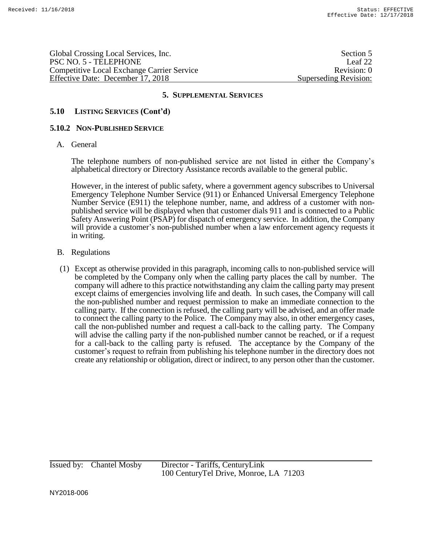Global Crossing Local Services, Inc. Section 5 PSC NO. 5 - TELEPHONE Leaf 22 Competitive Local Exchange Carrier Service **Revision: 0** Revision: 0 Effective Date: December 17, 2018 Superseding Revision:

## **5. SUPPLEMENTAL SERVICES**

## **5.10 LISTING SERVICES (Cont'd)**

#### **5.10.2 NON-PUBLISHED SERVICE**

A. General

The telephone numbers of non-published service are not listed in either the Company's alphabetical directory or Directory Assistance records available to the general public.

However, in the interest of public safety, where a government agency subscribes to Universal Emergency Telephone Number Service (911) or Enhanced Universal Emergency Telephone Number Service (E911) the telephone number, name, and address of a customer with nonpublished service will be displayed when that customer dials 911 and is connected to a Public Safety Answering Point (PSAP) for dispatch of emergency service. In addition, the Company will provide a customer's non-published number when a law enforcement agency requests it in writing.

- B. Regulations
- (1) Except as otherwise provided in this paragraph, incoming calls to non-published service will be completed by the Company only when the calling party places the call by number. The company will adhere to this practice notwithstanding any claim the calling party may present except claims of emergencies involving life and death. In such cases, the Company will call the non-published number and request permission to make an immediate connection to the calling party. If the connection is refused, the calling party will be advised, and an offer made to connect the calling party to the Police. The Company may also, in other emergency cases, call the non-published number and request a call-back to the calling party. The Company will advise the calling party if the non-published number cannot be reached, or if a request for a call-back to the calling party is refused. The acceptance by the Company of the customer's request to refrain from publishing his telephone number in the directory does not create any relationship or obligation, direct or indirect, to any person other than the customer.

Issued by: Chantel Mosby Director - Tariffs, CenturyLink 100 CenturyTel Drive, Monroe, LA 71203

NY2018-006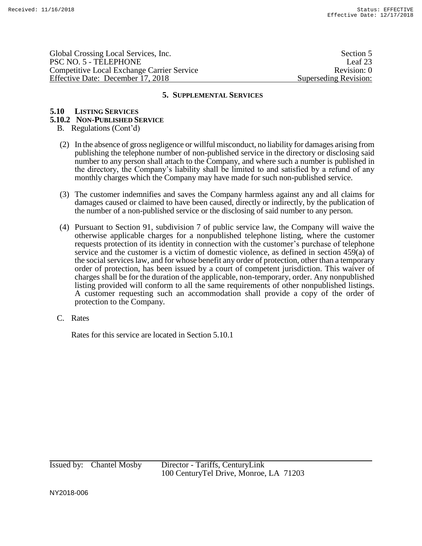Global Crossing Local Services, Inc. Section 5 PSC NO. 5 - TELEPHONE Leaf 23 Competitive Local Exchange Carrier Service Revision: 0 Effective Date: December 17, 2018 Superseding Revision:

#### **5. SUPPLEMENTAL SERVICES**

## **5.10 LISTING SERVICES**

## **5.10.2 NON-PUBLISHED SERVICE**

- B. Regulations (Cont'd)
- (2) In the absence of gross negligence or willful misconduct, no liability for damages arising from publishing the telephone number of non-published service in the directory or disclosing said number to any person shall attach to the Company, and where such a number is published in the directory, the Company's liability shall be limited to and satisfied by a refund of any monthly charges which the Company may have made for such non-published service.
- (3) The customer indemnifies and saves the Company harmless against any and all claims for damages caused or claimed to have been caused, directly or indirectly, by the publication of the number of a non-published service or the disclosing of said number to any person.
- (4) Pursuant to Section 91, subdivision 7 of public service law, the Company will waive the otherwise applicable charges for a nonpublished telephone listing, where the customer requests protection of its identity in connection with the customer's purchase of telephone service and the customer is a victim of domestic violence, as defined in section 459(a) of the social services law, and for whose benefit any order of protection, other than a temporary order of protection, has been issued by a court of competent jurisdiction. This waiver of charges shall be for the duration of the applicable, non-temporary, order. Any nonpublished listing provided will conform to all the same requirements of other nonpublished listings. A customer requesting such an accommodation shall provide a copy of the order of protection to the Company.
- C. Rates

Rates for this service are located in Section 5.10.1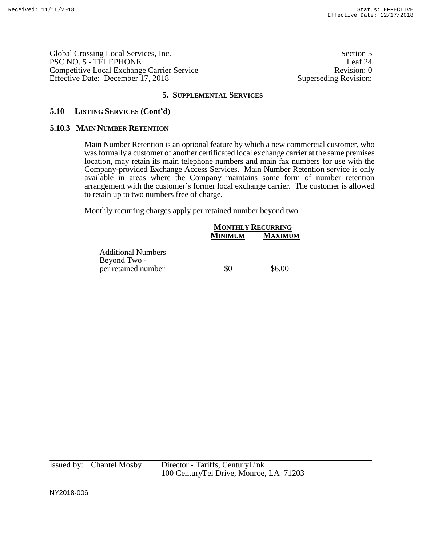Global Crossing Local Services, Inc. Section 5 PSC NO. 5 - TELEPHONE Leaf 24 Competitive Local Exchange Carrier Service Revision: 0 Effective Date: December 17, 2018 Superseding Revision:

## **5. SUPPLEMENTAL SERVICES**

## **5.10 LISTING SERVICES (Cont'd)**

#### **5.10.3 MAIN NUMBER RETENTION**

Main Number Retention is an optional feature by which a new commercial customer, who was formally a customer of another certificated local exchange carrier at the same premises location, may retain its main telephone numbers and main fax numbers for use with the Company-provided Exchange Access Services. Main Number Retention service is only available in areas where the Company maintains some form of number retention arrangement with the customer's former local exchange carrier. The customer is allowed to retain up to two numbers free of charge.

Monthly recurring charges apply per retained number beyond two.

|                                           |         | <b>MONTHLY RECURRING</b> |  |
|-------------------------------------------|---------|--------------------------|--|
|                                           | MINIMUM | <b>MAXIMUM</b>           |  |
| <b>Additional Numbers</b><br>Beyond Two - |         |                          |  |
| per retained number                       | \$0     | \$6.00                   |  |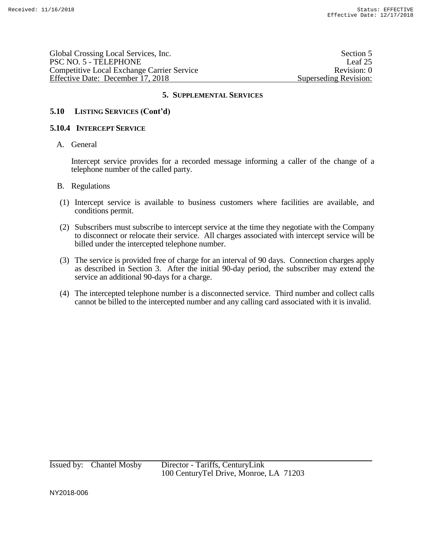| Global Crossing Local Services, Inc.       | Section 5             |
|--------------------------------------------|-----------------------|
| PSC NO. 5 - TELEPHONE                      | Leaf 25               |
| Competitive Local Exchange Carrier Service | Revision: 0           |
| Effective Date: December 17, 2018          | Superseding Revision: |

## **5.10 LISTING SERVICES (Cont'd)**

#### **5.10.4 INTERCEPT SERVICE**

A. General

Intercept service provides for a recorded message informing a caller of the change of a telephone number of the called party.

- B. Regulations
- (1) Intercept service is available to business customers where facilities are available, and conditions permit.
- (2) Subscribers must subscribe to intercept service at the time they negotiate with the Company to disconnect or relocate their service. All charges associated with intercept service will be billed under the intercepted telephone number.
- (3) The service is provided free of charge for an interval of 90 days. Connection charges apply as described in Section 3. After the initial 90-day period, the subscriber may extend the service an additional 90-days for a charge.
- (4) The intercepted telephone number is a disconnected service. Third number and collect calls cannot be billed to the intercepted number and any calling card associated with it is invalid.